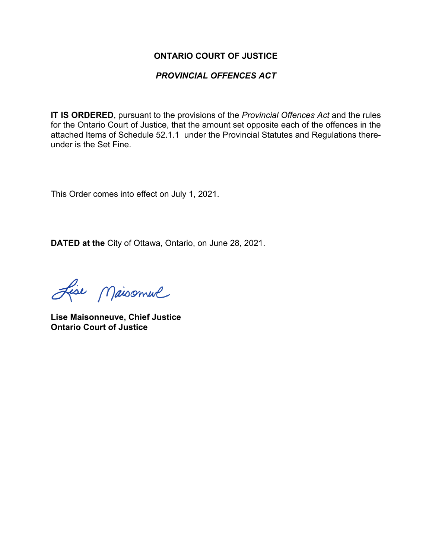#### **ONTARIO COURT OF JUSTICE**

### *PROVINCIAL OFFENCES ACT*

**IT IS ORDERED**, pursuant to the provisions of the *Provincial Offences Act* and the rules for the Ontario Court of Justice, that the amount set opposite each of the offences in the attached Items of Schedule 52.1.1 under the Provincial Statutes and Regulations thereunder is the Set Fine.

This Order comes into effect on July 1, 2021.

**DATED at the** City of Ottawa, Ontario, on June 28, 2021.

Lise Maisonnel

**Lise Maisonneuve, Chief Justice Ontario Court of Justice**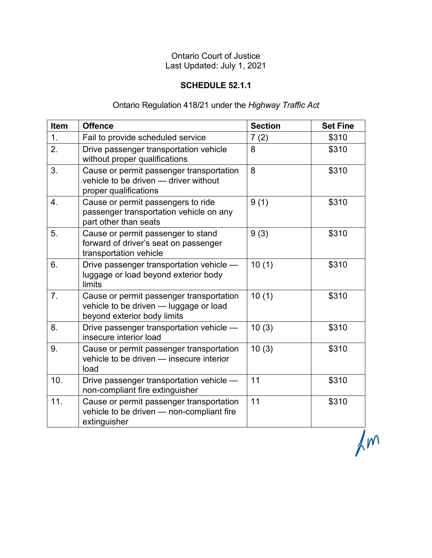# Ontario Court of Justice Last Updated: July 1, 2021

### **SCHEDULE 52.1.1**

## Ontario Regulation 418/21 under the *Highway Traffic Act*

| <b>Item</b> | <b>Offence</b>                                                                                                    | <b>Section</b> | <b>Set Fine</b> |
|-------------|-------------------------------------------------------------------------------------------------------------------|----------------|-----------------|
| 1.          | Fail to provide scheduled service                                                                                 | 7(2)           | \$310           |
| 2.          | Drive passenger transportation vehicle<br>without proper qualifications                                           | 8              | \$310           |
| 3.          | Cause or permit passenger transportation<br>vehicle to be driven - driver without<br>proper qualifications        | 8              | \$310           |
| 4.          | Cause or permit passengers to ride<br>passenger transportation vehicle on any<br>part other than seats            | 9(1)           | \$310           |
| 5.          | Cause or permit passenger to stand<br>forward of driver's seat on passenger<br>transportation vehicle             | 9(3)           | \$310           |
| 6.          | Drive passenger transportation vehicle -<br>luggage or load beyond exterior body<br>limits                        | 10(1)          | \$310           |
| 7.          | Cause or permit passenger transportation<br>vehicle to be driven - luggage or load<br>beyond exterior body limits | 10(1)          | \$310           |
| 8.          | Drive passenger transportation vehicle -<br>insecure interior load                                                | 10(3)          | \$310           |
| 9.          | Cause or permit passenger transportation<br>vehicle to be driven - insecure interior<br>load                      | 10(3)          | \$310           |
| 10.         | Drive passenger transportation vehicle -<br>non-compliant fire extinguisher                                       | 11             | \$310           |
| 11.         | Cause or permit passenger transportation<br>vehicle to be driven - non-compliant fire<br>extinguisher             | 11             | \$310           |

 $\overline{m}$